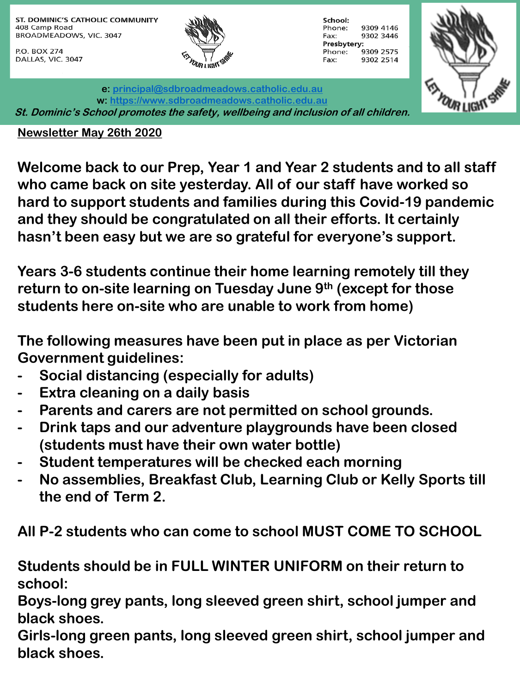ST. DOMINIC'S CATHOLIC COMMUNITY 408 Camp Road BROADMEADOWS, VIC. 3047

P.O. BOX 274 DALLAS, VIC. 3047



**e: [principal@sdbroadmeadows.catholic.edu.au](mailto:principal@sdbroadmeadows.catholic.edu.au)**

School: Phone: 9309 4146 9302 3446 Fax: Presbytery: 9309 2575 Phone: Fax: 9302 2514



**w: [https://www.sdbroadmeadows.catholic.edu.au](https://www.sdbroadmeadows.catholic.edu.au/) St. Dominic's School promotes the safety, wellbeing and inclusion of all children.**

## **Newsletter May 26th 2020**

**Welcome back to our Prep, Year 1 and Year 2 students and to all staff who came back on site yesterday. All of our staff have worked so hard to support students and families during this Covid-19 pandemic and they should be congratulated on all their efforts. It certainly hasn't been easy but we are so grateful for everyone's support.**

**Years 3-6 students continue their home learning remotely till they return to on-site learning on Tuesday June 9th (except for those students here on-site who are unable to work from home)**

**The following measures have been put in place as per Victorian Government guidelines:**

- **- Social distancing (especially for adults)**
- **- Extra cleaning on a daily basis**
- **- Parents and carers are not permitted on school grounds.**
- **- Drink taps and our adventure playgrounds have been closed (students must have their own water bottle)**
- **- Student temperatures will be checked each morning**
- **- No assemblies, Breakfast Club, Learning Club or Kelly Sports till the end of Term 2.**

**All P-2 students who can come to school MUST COME TO SCHOOL**

**Students should be in FULL WINTER UNIFORM on their return to school:**

**Boys-long grey pants, long sleeved green shirt, school jumper and black shoes.**

**Girls-long green pants, long sleeved green shirt, school jumper and black shoes.**